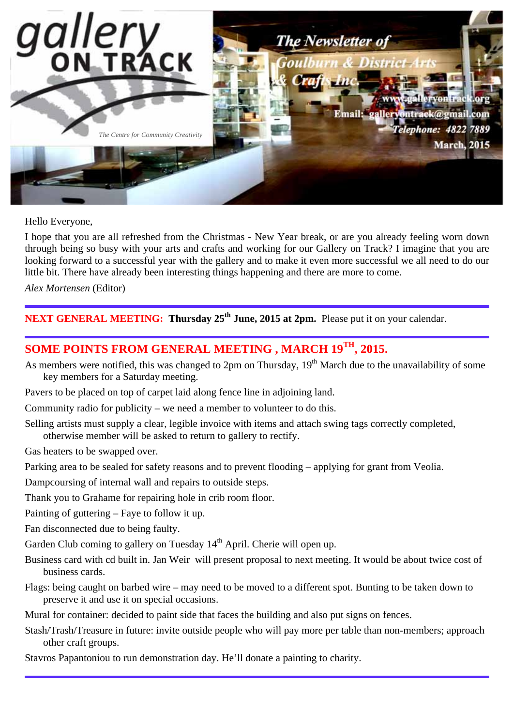

Hello Everyone,

I hope that you are all refreshed from the Christmas - New Year break, or are you already feeling worn down through being so busy with your arts and crafts and working for our Gallery on Track? I imagine that you are looking forward to a successful year with the gallery and to make it even more successful we all need to do our little bit. There have already been interesting things happening and there are more to come.

*Alex Mortensen* (Editor)

**NEXT GENERAL MEETING: Thursday 25th June, 2015 at 2pm.** Please put it on your calendar.

# **SOME POINTS FROM GENERAL MEETING , MARCH 19TH, 2015.**

- As members were notified, this was changed to 2pm on Thursday, 19<sup>th</sup> March due to the unavailability of some key members for a Saturday meeting.
- Pavers to be placed on top of carpet laid along fence line in adjoining land.

Community radio for publicity – we need a member to volunteer to do this.

Selling artists must supply a clear, legible invoice with items and attach swing tags correctly completed. otherwise member will be asked to return to gallery to rectify.

Gas heaters to be swapped over.

Parking area to be sealed for safety reasons and to prevent flooding – applying for grant from Veolia.

Dampcoursing of internal wall and repairs to outside steps.

Thank you to Grahame for repairing hole in crib room floor.

Painting of guttering – Faye to follow it up.

Fan disconnected due to being faulty.

Garden Club coming to gallery on Tuesday  $14<sup>th</sup>$  April. Cherie will open up.

- Business card with cd built in. Jan Weir will present proposal to next meeting. It would be about twice cost of business cards.
- Flags: being caught on barbed wire may need to be moved to a different spot. Bunting to be taken down to preserve it and use it on special occasions.

Mural for container: decided to paint side that faces the building and also put signs on fences.

Stash/Trash/Treasure in future: invite outside people who will pay more per table than non-members; approach other craft groups.

Stavros Papantoniou to run demonstration day. He'll donate a painting to charity.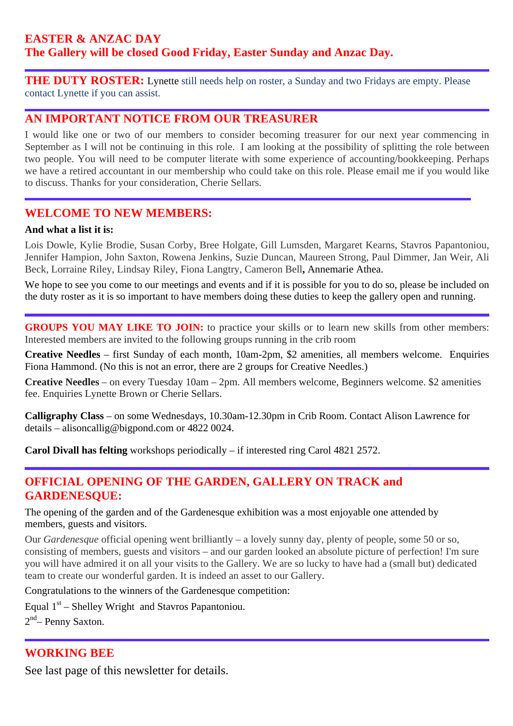## **EASTER & ANZAC DAY The Gallery will be closed Good Friday, Easter Sunday and Anzac Day.**

**THE DUTY ROSTER:** Lynette still needs help on roster, a Sunday and two Fridays are empty. Please contact Lynette if you can assist.

### **AN IMPORTANT NOTICE FROM OUR TREASURER**

I would like one or two of our members to consider becoming treasurer for our next year commencing in September as I will not be continuing in this role. I am looking at the possibility of splitting the role between two people. You will need to be computer literate with some experience of accounting/bookkeeping. Perhaps we have a retired accountant in our membership who could take on this role. Please email me if you would like to discuss. Thanks for your consideration, Cherie Sellars.

### **WELCOME TO NEW MEMBERS:**

#### **And what a list it is:**

Lois Dowle, Kylie Brodie, Susan Corby, Bree Holgate, Gill Lumsden, Margaret Kearns, Stavros Papantoniou, Jennifer Hampion, John Saxton, Rowena Jenkins, Suzie Duncan, Maureen Strong, Paul Dimmer, Jan Weir, Ali Beck, Lorraine Riley, Lindsay Riley, Fiona Langtry, Cameron Bell**,** Annemarie Athea.

We hope to see you come to our meetings and events and if it is possible for you to do so, please be included on the duty roster as it is so important to have members doing these duties to keep the gallery open and running.

**GROUPS YOU MAY LIKE TO JOIN:** to practice your skills or to learn new skills from other members: Interested members are invited to the following groups running in the crib room

**Creative Needles** – first Sunday of each month, 10am-2pm, \$2 amenities, all members welcome. Enquiries Fiona Hammond. (No this is not an error, there are 2 groups for Creative Needles.)

**Creative Needles** – on every Tuesday 10am – 2pm. All members welcome, Beginners welcome. \$2 amenities fee. Enquiries Lynette Brown or Cherie Sellars.

**Calligraphy Class** – on some Wednesdays, 10.30am-12.30pm in Crib Room. Contact Alison Lawrence for details – alisoncallig@bigpond.com or 4822 0024.

**Carol Divall has felting** workshops periodically – if interested ring Carol 4821 2572.

## **OFFICIAL OPENING OF THE GARDEN, GALLERY ON TRACK and GARDENESQUE:**

The opening of the garden and of the Gardenesque exhibition was a most enjoyable one attended by members, guests and visitors.

Our *Gardenesque* official opening went brilliantly – a lovely sunny day, plenty of people, some 50 or so, consisting of members, guests and visitors – and our garden looked an absolute picture of perfection! I'm sure you will have admired it on all your visits to the Gallery. We are so lucky to have had a (small but) dedicated team to create our wonderful garden. It is indeed an asset to our Gallery.

Congratulations to the winners of the Gardenesque competition:

Equal  $1<sup>st</sup>$  – Shelley Wright and Stavros Papantoniou.

 $2<sup>nd</sup>$ – Penny Saxton.

## **WORKING BEE**

See last page of this newsletter for details.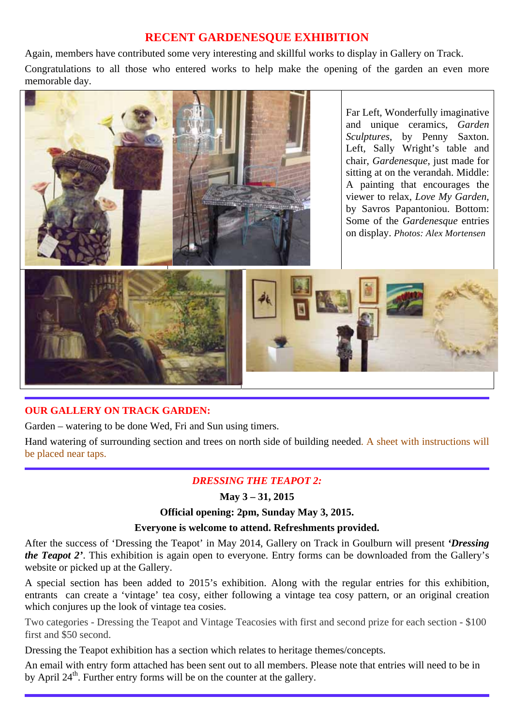## **RECENT GARDENESQUE EXHIBITION**

Again, members have contributed some very interesting and skillful works to display in Gallery on Track.

Congratulations to all those who entered works to help make the opening of the garden an even more memorable day.



Far Left, Wonderfully imaginative and unique ceramics, *Garden Sculptures*, by Penny Saxton. Left, Sally Wright's table and chair, *Gardenesque*, just made for sitting at on the verandah. Middle: A painting that encourages the viewer to relax, *Love My Garden,*  by Savros Papantoniou. Bottom: Some of the *Gardenesque* entries on display. *Photos: Alex Mortensen* 



## **OUR GALLERY ON TRACK GARDEN:**

Garden – watering to be done Wed, Fri and Sun using timers.

Hand watering of surrounding section and trees on north side of building needed. A sheet with instructions will be placed near taps.

## *DRESSING THE TEAPOT 2:*

### **May 3 – 31, 2015**

#### **Official opening: 2pm, Sunday May 3, 2015.**

#### **Everyone is welcome to attend. Refreshments provided.**

After the success of 'Dressing the Teapot' in May 2014, Gallery on Track in Goulburn will present *'Dressing the Teapot 2'*. This exhibition is again open to everyone. Entry forms can be downloaded from the Gallery's website or picked up at the Gallery.

A special section has been added to 2015's exhibition. Along with the regular entries for this exhibition, entrants can create a 'vintage' tea cosy, either following a vintage tea cosy pattern, or an original creation which conjures up the look of vintage tea cosies.

Two categories - Dressing the Teapot and Vintage Teacosies with first and second prize for each section - \$100 first and \$50 second.

Dressing the Teapot exhibition has a section which relates to heritage themes/concepts.

An email with entry form attached has been sent out to all members. Please note that entries will need to be in by April  $24<sup>th</sup>$ . Further entry forms will be on the counter at the gallery.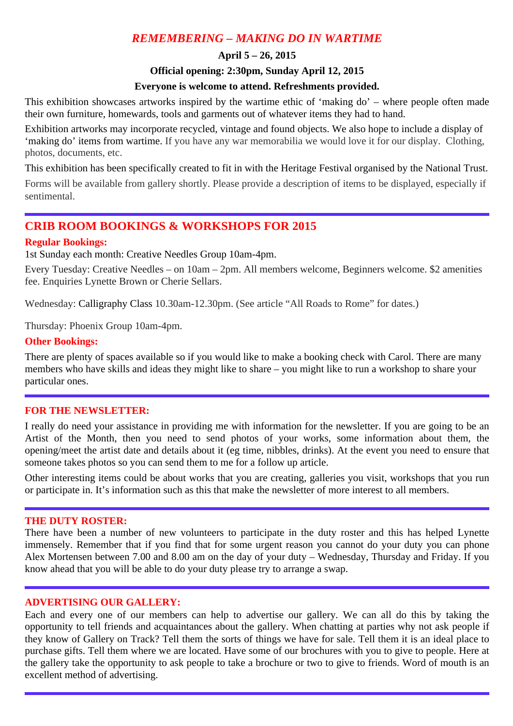## *REMEMBERING – MAKING DO IN WARTIME*

#### **April 5 – 26, 2015**

#### **Official opening: 2:30pm, Sunday April 12, 2015**

#### **Everyone is welcome to attend. Refreshments provided.**

This exhibition showcases artworks inspired by the wartime ethic of 'making do' – where people often made their own furniture, homewards, tools and garments out of whatever items they had to hand.

Exhibition artworks may incorporate recycled, vintage and found objects. We also hope to include a display of 'making do' items from wartime. If you have any war memorabilia we would love it for our display. Clothing, photos, documents, etc.

This exhibition has been specifically created to fit in with the Heritage Festival organised by the National Trust.

Forms will be available from gallery shortly. Please provide a description of items to be displayed, especially if sentimental.

## **CRIB ROOM BOOKINGS & WORKSHOPS FOR 2015**

#### **Regular Bookings:**

1st Sunday each month: Creative Needles Group 10am-4pm.

Every Tuesday: Creative Needles – on 10am – 2pm. All members welcome, Beginners welcome. \$2 amenities fee. Enquiries Lynette Brown or Cherie Sellars.

Wednesday: Calligraphy Class 10.30am-12.30pm. (See article "All Roads to Rome" for dates.)

Thursday: Phoenix Group 10am-4pm.

#### **Other Bookings:**

There are plenty of spaces available so if you would like to make a booking check with Carol. There are many members who have skills and ideas they might like to share – you might like to run a workshop to share your particular ones.

#### **FOR THE NEWSLETTER:**

I really do need your assistance in providing me with information for the newsletter. If you are going to be an Artist of the Month, then you need to send photos of your works, some information about them, the opening/meet the artist date and details about it (eg time, nibbles, drinks). At the event you need to ensure that someone takes photos so you can send them to me for a follow up article.

Other interesting items could be about works that you are creating, galleries you visit, workshops that you run or participate in. It's information such as this that make the newsletter of more interest to all members.

#### **THE DUTY ROSTER:**

There have been a number of new volunteers to participate in the duty roster and this has helped Lynette immensely. Remember that if you find that for some urgent reason you cannot do your duty you can phone Alex Mortensen between 7.00 and 8.00 am on the day of your duty – Wednesday, Thursday and Friday. If you know ahead that you will be able to do your duty please try to arrange a swap.

#### **ADVERTISING OUR GALLERY:**

Each and every one of our members can help to advertise our gallery. We can all do this by taking the opportunity to tell friends and acquaintances about the gallery. When chatting at parties why not ask people if they know of Gallery on Track? Tell them the sorts of things we have for sale. Tell them it is an ideal place to purchase gifts. Tell them where we are located. Have some of our brochures with you to give to people. Here at the gallery take the opportunity to ask people to take a brochure or two to give to friends. Word of mouth is an excellent method of advertising.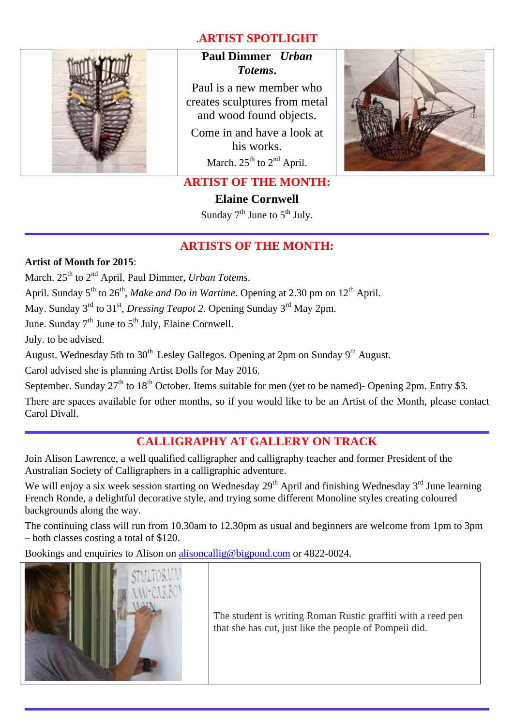## .**ARTIST SPOTLIGHT**



## **Paul Dimmer** *Urban Totems***.**

Paul is a new member who creates sculptures from metal and wood found objects.

Come in and have a look at his works. March.  $25<sup>th</sup>$  to  $2<sup>nd</sup>$  April.



## **ARTIST OF THE MONTH:**

**Elaine Cornwell** 

Sunday  $7<sup>th</sup>$  June to  $5<sup>th</sup>$  July.

### **ARTISTS OF THE MONTH:**

**Artist of Month for 2015**:

March. 25<sup>th</sup> to 2<sup>nd</sup> April, Paul Dimmer, *Urban Totems*.

April. Sunday 5<sup>th</sup> to 26<sup>th</sup>, *Make and Do in Wartime*. Opening at 2.30 pm on 12<sup>th</sup> April.

May. Sunday 3<sup>rd</sup> to 31<sup>st</sup>, *Dressing Teapot 2*. Opening Sunday 3<sup>rd</sup> May 2pm.

June. Sunday  $7<sup>th</sup>$  June to  $5<sup>th</sup>$  July, Elaine Cornwell.

July. to be advised.

August. Wednesday 5th to  $30<sup>th</sup>$  Lesley Gallegos. Opening at 2pm on Sunday  $9<sup>th</sup>$  August.

Carol advised she is planning Artist Dolls for May 2016.

September. Sunday  $27<sup>th</sup>$  to  $18<sup>th</sup>$  October. Items suitable for men (yet to be named)- Opening 2pm. Entry \$3.

There are spaces available for other months, so if you would like to be an Artist of the Month, please contact Carol Divall.

## **CALLIGRAPHY AT GALLERY ON TRACK**

Join Alison Lawrence, a well qualified calligrapher and calligraphy teacher and former President of the Australian Society of Calligraphers in a calligraphic adventure.

We will enjoy a six week session starting on Wednesday  $29<sup>th</sup>$  April and finishing Wednesday  $3<sup>rd</sup>$  June learning French Ronde, a delightful decorative style, and trying some different Monoline styles creating coloured backgrounds along the way.

The continuing class will run from 10.30am to 12.30pm as usual and beginners are welcome from 1pm to 3pm – both classes costing a total of \$120.

Bookings and enquiries to Alison on alisoncallig@bigpond.com or 4822-0024.



The student is writing Roman Rustic graffiti with a reed pen that she has cut, just like the people of Pompeii did.